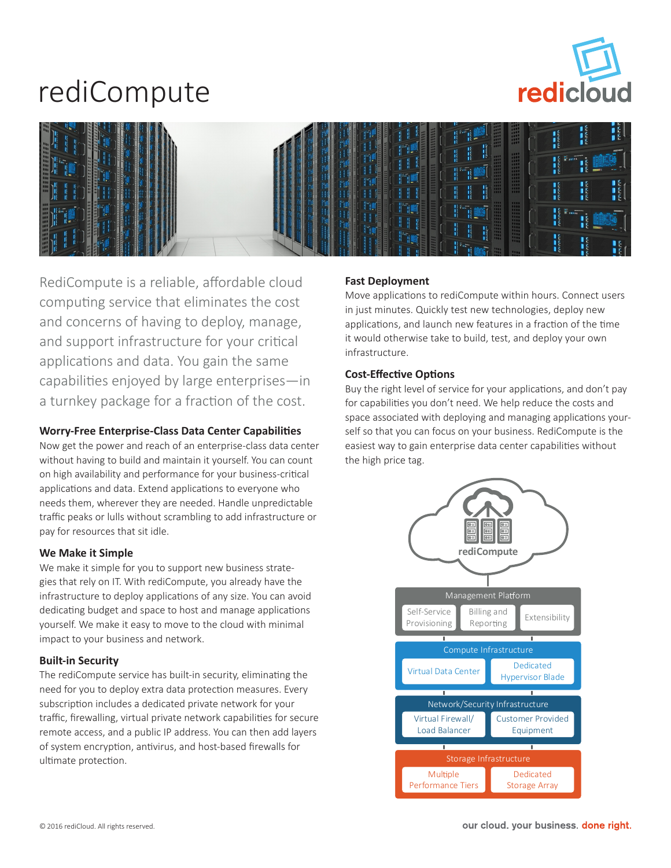

# rediCompute



RediCompute is a reliable, affordable cloud computing service that eliminates the cost and concerns of having to deploy, manage, and support infrastructure for your critical applications and data. You gain the same capabilities enjoyed by large enterprises—in a turnkey package for a fraction of the cost.

# **Worry-Free Enterprise-Class Data Center Capabilities**

Now get the power and reach of an enterprise-class data center without having to build and maintain it yourself. You can count on high availability and performance for your business-critical applications and data. Extend applications to everyone who needs them, wherever they are needed. Handle unpredictable traffic peaks or lulls without scrambling to add infrastructure or pay for resources that sit idle.

# **We Make it Simple**

We make it simple for you to support new business strategies that rely on IT. With rediCompute, you already have the infrastructure to deploy applications of any size. You can avoid dedicating budget and space to host and manage applications yourself. We make it easy to move to the cloud with minimal impact to your business and network.

# **Built-in Security**

The rediCompute service has built-in security, eliminating the need for you to deploy extra data protection measures. Every subscription includes a dedicated private network for your traffic, firewalling, virtual private network capabilities for secure remote access, and a public IP address. You can then add layers of system encryption, antivirus, and host-based firewalls for ultimate protection.

# **Fast Deployment**

Move applications to rediCompute within hours. Connect users in just minutes. Quickly test new technologies, deploy new applications, and launch new features in a fraction of the time it would otherwise take to build, test, and deploy your own infrastructure.

# **Cost-Effective Options**

Buy the right level of service for your applications, and don't pay for capabilities you don't need. We help reduce the costs and space associated with deploying and managing applications yourself so that you can focus on your business. RediCompute is the easiest way to gain enterprise data center capabilities without the high price tag.